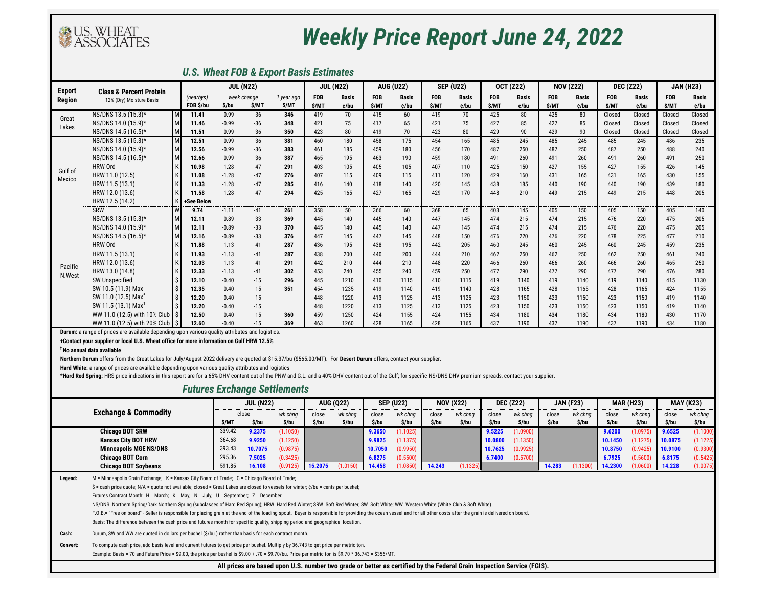

## *Weekly Price Report June 24, 2022*

| <b>U.S. Wheat FOB &amp; Export Basis Estimates</b>                                                                                                                                                              |                                                                                                        |             |         |                  |            |                  |              |            |                  |                  |              |                  |              |                  |              |                  |              |                  |              |
|-----------------------------------------------------------------------------------------------------------------------------------------------------------------------------------------------------------------|--------------------------------------------------------------------------------------------------------|-------------|---------|------------------|------------|------------------|--------------|------------|------------------|------------------|--------------|------------------|--------------|------------------|--------------|------------------|--------------|------------------|--------------|
| <b>Export</b><br><b>Region</b>                                                                                                                                                                                  | <b>Class &amp; Percent Protein</b>                                                                     |             |         | <b>JUL (N22)</b> |            | <b>JUL (N22)</b> |              |            | <b>AUG (U22)</b> | <b>SEP (U22)</b> |              | <b>OCT (Z22)</b> |              | <b>NOV (Z22)</b> |              | <b>DEC (Z22)</b> |              | <b>JAN (H23)</b> |              |
|                                                                                                                                                                                                                 | 12% (Dry) Moisture Basis                                                                               | (nearbys)   |         | week change      | 1 year ago | <b>FOB</b>       | <b>Basis</b> | <b>FOB</b> | <b>Basis</b>     | <b>FOB</b>       | <b>Basis</b> | <b>FOB</b>       | <b>Basis</b> | <b>FOB</b>       | <b>Basis</b> | <b>FOB</b>       | <b>Basis</b> | <b>FOB</b>       | <b>Basis</b> |
|                                                                                                                                                                                                                 |                                                                                                        | FOB \$/bu   | \$/bu   | \$/MT            | \$/MT      | \$/MT            | ¢/bu         | \$/MT      | ¢/bu             | \$/MT            | ¢/bu         | \$/MT            | ¢/bu         | \$/MT            | ¢/bu         | \$/MT            | ¢/bu         | \$/MT            | ¢/bu         |
| Great<br>Lakes                                                                                                                                                                                                  | NS/DNS 13.5 (15.3)*                                                                                    | 11.41       | $-0.99$ | $-36$            | 346        | 419              | 70           | 415        | 60               | 419              | 70           | 425              | 80           | 425              | 80           | Closed           | Closed       | Closed           | Closed       |
|                                                                                                                                                                                                                 | NS/DNS 14.0 (15.9)*                                                                                    | M<br>11.46  | $-0.99$ | $-36$            | 348        | 421              | 75           | 417        | 65               | 421              | 75           | 427              | 85           | 427              | 85           | Closed           | Closed       | Closed           | Closed       |
|                                                                                                                                                                                                                 | NS/DNS 14.5 (16.5)*                                                                                    | M<br>11.51  | $-0.99$ | $-36$            | 350        | 423              | 80           | 419        | 70               | 423              | 80           | 429              | 90           | 429              | 90           | Closed           | Closed       | Closed           | Closed       |
|                                                                                                                                                                                                                 | NS/DNS 13.5 (15.3)*                                                                                    | 12.51<br>M  | $-0.99$ | $-36$            | 381        | 460              | 180          | 458        | 175              | 454              | 165          | 485              | 245          | 485              | 245          | 485              | 245          | 486              | 235          |
|                                                                                                                                                                                                                 | NS/DNS 14.0 (15.9)*                                                                                    | M<br>12.56  | $-0.99$ | $-36$            | 383        | 461              | 185          | 459        | 180              | 456              | 170          | 487              | 250          | 487              | 250          | 487              | 250          | 488              | 240          |
|                                                                                                                                                                                                                 | NS/DNS 14.5 (16.5)*                                                                                    | M<br>12.66  | $-0.99$ | $-36$            | 387        | 465              | 195          | 463        | 190              | 459              | 180          | 491              | 260          | 491              | 260          | 491              | 260          | 491              | 250          |
| Gulf of                                                                                                                                                                                                         | <b>HRW Ord</b>                                                                                         | 10.98       | $-1.28$ | -47              | 291        | 403              | 105          | 405        | 105              | 407              | 110          | 425              | 150          | 427              | 155          | 427              | 155          | 426              | 145          |
| Mexico                                                                                                                                                                                                          | HRW 11.0 (12.5)                                                                                        | 11.08       | $-1.28$ | $-47$            | 276        | 407              | 115          | 409        | 115              | 411              | 120          | 429              | 160          | 431              | 165          | 431              | 165          | 430              | 155          |
|                                                                                                                                                                                                                 | HRW 11.5 (13.1)                                                                                        | 11.33       | $-1.28$ | $-47$            | 285        | 416              | 140          | 418        | 140              | 420              | 145          | 438              | 185          | 440              | 190          | 440              | 190          | 439              | 180          |
|                                                                                                                                                                                                                 | HRW 12.0 (13.6)                                                                                        | 11.58       | $-1.28$ | $-47$            | 294        | 425              | 165          | 427        | 165              | 429              | 170          | 448              | 210          | 449              | 215          | 449              | 215          | 448              | 205          |
|                                                                                                                                                                                                                 | HRW 12.5 (14.2)                                                                                        | +See Below  |         | $- - -$          |            |                  | ----         |            | ----             | ----             |              |                  | ----         |                  |              | ---              | ----         |                  | -------      |
|                                                                                                                                                                                                                 | SRW                                                                                                    | 9.74        | $-1.11$ | $-41$            | 261        | 358              | 50           | 366        | 60               | 368              | 65           | 403              | 145          | 405              | 150          | 405              | 150          | 405              | 140          |
|                                                                                                                                                                                                                 | NS/DNS 13.5 (15.3)*                                                                                    | M<br>12.11  | $-0.89$ | $-33$            | 369        | 445              | 140          | 445        | 140              | 447              | 145          | 474              | 215          | 474              | 215          | 476              | 220          | 475              | 205          |
|                                                                                                                                                                                                                 | NS/DNS 14.0 (15.9)*                                                                                    | M<br>12.11  | $-0.89$ | $-33$            | 370        | 445              | 140          | 445        | 140              | 447              | 145          | 474              | 215          | 474              | 215          | 476              | 220          | 475              | 205          |
|                                                                                                                                                                                                                 | NS/DNS 14.5 (16.5)*                                                                                    | M<br>12.16  | $-0.89$ | $-33$            | 376        | 447              | 145          | 447        | 145              | 448              | 150          | 476              | 220          | 476              | 220          | 478              | 225          | 477              | 210          |
|                                                                                                                                                                                                                 | <b>HRW Ord</b>                                                                                         | 11.88       | $-1.13$ | -41              | 287        | 436              | 195          | 438        | 195              | 442              | 205          | 460              | 245          | 460              | 245          | 460              | 245          | 459              | 235          |
|                                                                                                                                                                                                                 | HRW 11.5 (13.1)                                                                                        | 11.93       | $-1.13$ | -41              | 287        | 438              | 200          | 440        | 200              | 444              | 210          | 462              | 250          | 462              | 250          | 462              | 250          | 461              | 240          |
| Pacific                                                                                                                                                                                                         | HRW 12.0 (13.6)                                                                                        | 12.03       | $-1.13$ | -41              | 291        | 442              | 210          | 444        | 210              | 448              | 220          | 466              | 260          | 466              | 260          | 466              | 260          | 465              | 250          |
| N.West                                                                                                                                                                                                          | HRW 13.0 (14.8)                                                                                        | 12.33       | $-1.13$ | $-41$            | 302        | 453              | 240          | 455        | 240              | 459              | 250          | 477              | 290          | 477              | 290          | 477              | 290          | 476              | 280          |
|                                                                                                                                                                                                                 | <b>SW Unspecified</b>                                                                                  | 12.10       | $-0.40$ | $-15$            | 296        | 445              | 1210         | 410        | 1115             | 410              | 1115         | 419              | 1140         | 419              | 1140         | 419              | 1140         | 415              | 1130         |
|                                                                                                                                                                                                                 | SW 10.5 (11.9) Max                                                                                     | 12.35       | $-0.40$ | $-15$            | 351        | 454              | 1235         | 419        | 1140             | 419              | 1140         | 428              | 1165         | 428              | 1165         | 428              | 1165         | 424              | 1155         |
|                                                                                                                                                                                                                 | SW 11.0 (12.5) Max <sup>3</sup>                                                                        | 12.20       | $-0.40$ | $-15$            |            | 448              | 1220         | 413        | 1125             | 413              | 1125         | 423              | 1150         | 423              | 1150         | 423              | 1150         | 419              | 1140         |
|                                                                                                                                                                                                                 | SW 11.5 (13.1) Max <sup>1</sup>                                                                        | 12.20       | $-0.40$ | $-15$            |            | 448              | 1220         | 413        | 1125             | 413              | 1125         | 423              | 1150         | 423              | 1150         | 423              | 1150         | 419              | 1140         |
|                                                                                                                                                                                                                 | WW 11.0 (12.5) with 10% Club                                                                           | 12.50       | $-0.40$ | $-15$            | 360        | 459              | 1250         | 424        | 1155             | 424              | 1155         | 434              | 1180         | 434              | 1180         | 434              | 1180         | 430              | 1170         |
|                                                                                                                                                                                                                 | WW 11.0 (12.5) with 20% Club                                                                           | Ŝ.<br>12.60 | $-0.40$ | $-15$            | 369        | 463              | 1260         | 428        | 1165             | 428              | 1165         | 437              | 1190         | 437              | 1190         | 437              | 1190         | 434              | 1180         |
|                                                                                                                                                                                                                 | <b>Durum:</b> a range of prices are available depending upon various quality attributes and logistics. |             |         |                  |            |                  |              |            |                  |                  |              |                  |              |                  |              |                  |              |                  |              |
|                                                                                                                                                                                                                 | +Contact your supplier or local U.S. Wheat office for more information on Gulf HRW 12.5%               |             |         |                  |            |                  |              |            |                  |                  |              |                  |              |                  |              |                  |              |                  |              |
|                                                                                                                                                                                                                 | <sup>‡</sup> No annual data available                                                                  |             |         |                  |            |                  |              |            |                  |                  |              |                  |              |                  |              |                  |              |                  |              |
| Northern Durum offers from the Great Lakes for July/August 2022 delivery are quoted at \$15.37/bu (\$565.00/MT). For Desert Durum offers, contact your supplier.                                                |                                                                                                        |             |         |                  |            |                  |              |            |                  |                  |              |                  |              |                  |              |                  |              |                  |              |
| Hard White: a range of prices are available depending upon various quality attributes and logistics                                                                                                             |                                                                                                        |             |         |                  |            |                  |              |            |                  |                  |              |                  |              |                  |              |                  |              |                  |              |
| *Hard Red Spring: HRS price indications in this report are for a 65% DHV content out of the PNW and G.L. and a 40% DHV content out of the Gulf; for specific NS/DNS DHV premium spreads, contact your supplier. |                                                                                                        |             |         |                  |            |                  |              |            |                  |                  |              |                  |              |                  |              |                  |              |                  |              |
|                                                                                                                                                                                                                 | <b>Futures Exchange Settlements</b>                                                                    |             |         |                  |            |                  |              |            |                  |                  |              |                  |              |                  |              |                  |              |                  |              |

| <b>Exchange &amp; Commodity</b>                                                                                        |                                                                                                                                                                                                                       | <b>JUL (N22)</b> |         | <b>AUG (Q22)</b> |         | <b>SEP (U22)</b> |         | <b>NOV (X22)</b> |        | <b>DEC (Z22)</b> |         | <b>JAN (F23)</b> |        | <b>MAR (H23)</b> |         | <b>MAY (K23)</b> |         |          |
|------------------------------------------------------------------------------------------------------------------------|-----------------------------------------------------------------------------------------------------------------------------------------------------------------------------------------------------------------------|------------------|---------|------------------|---------|------------------|---------|------------------|--------|------------------|---------|------------------|--------|------------------|---------|------------------|---------|----------|
|                                                                                                                        |                                                                                                                                                                                                                       | close            |         | wk chnq          | close   | wk chnq          | close   | wk chng          | close  | wk chnq          | close   | wk chng          | close  | wk chng          | close   | wk chnq          | close   | wk chng  |
|                                                                                                                        |                                                                                                                                                                                                                       |                  | \$/bu   | \$/bu            | \$/bu   | \$/bu            | \$/bu   | \$/bu            | S/bu   | \$/bu            | \$/bu   | \$/bu            | \$/bu  | \$/bu            | \$/bu   | \$/bu            | \$/bu   | \$/bu    |
| <b>Chicago BOT SRW</b>                                                                                                 |                                                                                                                                                                                                                       | 339.42           | 9.2375  | (1.1050)         |         |                  | 9.3650  | (1.1025)         |        |                  | 9.5225  | (1.0900)         |        |                  | 9.6200  | (1.0975)         | 9.6525  | (1.1000) |
| <b>Kansas City BOT HRW</b>                                                                                             |                                                                                                                                                                                                                       | 364.68           | 9.9250  | (1.1250)         |         |                  | 9.9825  | (1.1375)         |        |                  | 10.0800 | (1.1350)         |        |                  | 10.1450 | (1.1275)         | 10.0875 | (1.1225) |
| <b>Minneapolis MGE NS/DNS</b>                                                                                          |                                                                                                                                                                                                                       | 393.43           | 10.7075 | (0.9875)         |         |                  | 10.7050 | (0.9950)         |        |                  | 10.7625 | (0.9925)         |        |                  | 10.8750 | (0.9425)         | 10.9100 | (0.9300) |
| <b>Chicago BOT Corn</b>                                                                                                |                                                                                                                                                                                                                       | 295.36           | 7.5025  | (0.3425)         |         |                  | 6.8275  | (0.5500)         |        |                  | 6.7400  | (0.5700)         |        |                  | 6.7925  | (0.5600)         | 6.8175  | (0.5425) |
|                                                                                                                        | <b>Chicago BOT Soybeans</b>                                                                                                                                                                                           | 591.85           | 16.108  | (0.9125)         | 15.2075 | (1.0150)         | 14.458  | (1.0850)         | 14.243 | (1.1325)         |         |                  | 14.283 | (1.1300)         | 14.2300 | (1.0600)         | 14.228  | (1.0075) |
| Legend:                                                                                                                | M = Minneapolis Grain Exchange; K = Kansas City Board of Trade; C = Chicago Board of Trade;                                                                                                                           |                  |         |                  |         |                  |         |                  |        |                  |         |                  |        |                  |         |                  |         |          |
|                                                                                                                        | $\hat{S}$ = cash price quote; N/A = quote not available; closed = Great Lakes are closed to vessels for winter; $\hat{c}/$ bu = cents per bushel;                                                                     |                  |         |                  |         |                  |         |                  |        |                  |         |                  |        |                  |         |                  |         |          |
|                                                                                                                        | Futures Contract Month: H = March; K = May; N = July; U = September; Z = December                                                                                                                                     |                  |         |                  |         |                  |         |                  |        |                  |         |                  |        |                  |         |                  |         |          |
|                                                                                                                        | NS/DNS=Northern Spring/Dark Northern Spring (subclasses of Hard Red Spring); HRW=Hard Red Winter; SRW=Soft Red Winter; SW=Soft White; WW=Western White (White Club & Soft White)                                      |                  |         |                  |         |                  |         |                  |        |                  |         |                  |        |                  |         |                  |         |          |
|                                                                                                                        | F.O.B.= "Free on board" - Seller is responsible for placing grain at the end of the loading spout. Buyer is responsible for providing the ocean vessel and for all other costs after the grain is delivered on board. |                  |         |                  |         |                  |         |                  |        |                  |         |                  |        |                  |         |                  |         |          |
|                                                                                                                        | Basis: The difference between the cash price and futures month for specific quality, shipping period and geographical location.                                                                                       |                  |         |                  |         |                  |         |                  |        |                  |         |                  |        |                  |         |                  |         |          |
| Cash:                                                                                                                  | Durum, SW and WW are quoted in dollars per bushel (\$/bu.) rather than basis for each contract month.                                                                                                                 |                  |         |                  |         |                  |         |                  |        |                  |         |                  |        |                  |         |                  |         |          |
|                                                                                                                        |                                                                                                                                                                                                                       |                  |         |                  |         |                  |         |                  |        |                  |         |                  |        |                  |         |                  |         |          |
| <b>Convert:</b>                                                                                                        | To compute cash price, add basis level and current futures to get price per bushel. Multiply by 36.743 to get price per metric ton.                                                                                   |                  |         |                  |         |                  |         |                  |        |                  |         |                  |        |                  |         |                  |         |          |
|                                                                                                                        | Example: Basis = 70 and Future Price = \$9.00, the price per bushel is \$9.00 + .70 = \$9.70/bu. Price per metric ton is \$9.70 * 36.743 = \$356/MT.                                                                  |                  |         |                  |         |                  |         |                  |        |                  |         |                  |        |                  |         |                  |         |          |
| All prices are based upon U.S. number two grade or better as certified by the Federal Grain Inspection Service (FGIS). |                                                                                                                                                                                                                       |                  |         |                  |         |                  |         |                  |        |                  |         |                  |        |                  |         |                  |         |          |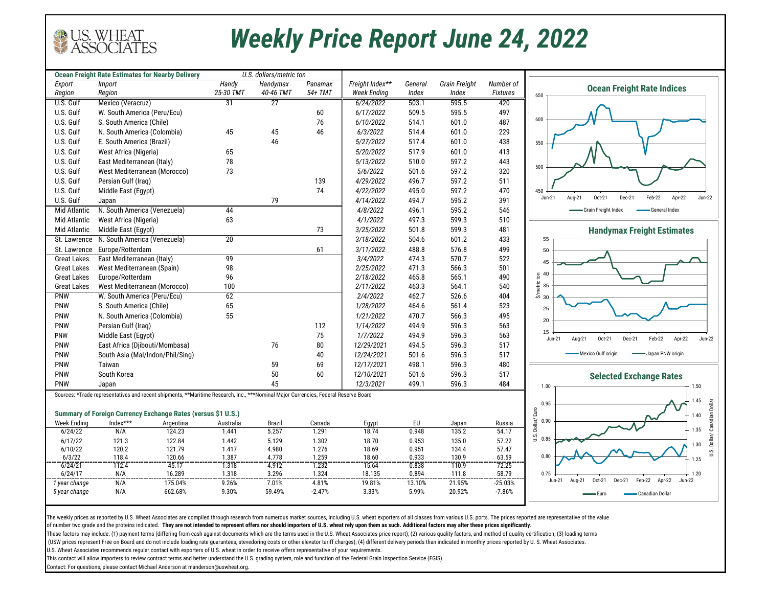

## *Weekly Price Report June 24, 2022*

| <b>Ocean Freight Rate Estimates for Nearby Delivery</b><br>U.S. dollars/metric ton |                                                                                                                                     |           |              |               |          |                    |         |               |                 |                                                                                                                     |
|------------------------------------------------------------------------------------|-------------------------------------------------------------------------------------------------------------------------------------|-----------|--------------|---------------|----------|--------------------|---------|---------------|-----------------|---------------------------------------------------------------------------------------------------------------------|
| Export                                                                             | Import                                                                                                                              |           | <b>Handy</b> | Handymax      | Panamax  | Freight Index**    | General | Grain Freight | Number of       | <b>Ocean Freight Rate Indices</b>                                                                                   |
| Region                                                                             | Region                                                                                                                              |           | 25-30 TMT    | 40-46 TMT     | 54+ TMT  | <b>Week Ending</b> | Index   | Index         | <b>Fixtures</b> | 650                                                                                                                 |
| U.S. Gulf                                                                          | Mexico (Veracruz)                                                                                                                   |           | 31           | 27            |          | 6/24/2022          | 503.1   | 595.5         | 420             |                                                                                                                     |
| U.S. Gulf                                                                          | W. South America (Peru/Ecu)                                                                                                         |           |              |               | 60       | 6/17/2022          | 509.5   | 595.5         | 497             |                                                                                                                     |
| U.S. Gulf                                                                          | S. South America (Chile)                                                                                                            |           |              |               | 76       | 6/10/2022          | 514.1   | 601.0         | 487             | 600                                                                                                                 |
| U.S. Gulf                                                                          | N. South America (Colombia)                                                                                                         |           | 45           | 45            | 46       | 6/3/2022           | 514.4   | 601.0         | 229             |                                                                                                                     |
| U.S. Gulf                                                                          | E. South America (Brazil)                                                                                                           |           |              | 46            |          | 5/27/2022          | 517.4   | 601.0         | 438             | 550                                                                                                                 |
| U.S. Gulf                                                                          | West Africa (Nigeria)                                                                                                               |           | 65           |               |          | 5/20/2022          | 517.9   | 601.0         | 413             |                                                                                                                     |
| U.S. Gulf                                                                          | East Mediterranean (Italy)                                                                                                          |           | 78           |               |          | 5/13/2022          | 510.0   | 597.2         | 443             |                                                                                                                     |
| U.S. Gulf                                                                          | West Mediterranean (Morocco)                                                                                                        |           | 73           |               |          | 5/6/2022           | 501.6   | 597.2         | 320             | 500                                                                                                                 |
| U.S. Gulf                                                                          | Persian Gulf (Iraq)                                                                                                                 |           |              |               | 139      | 4/29/2022          | 496.7   | 597.2         | 511             |                                                                                                                     |
| U.S. Gulf                                                                          | Middle East (Egypt)                                                                                                                 |           |              |               | 74       | 4/22/2022          | 495.0   | 597.2         | 470             | 450                                                                                                                 |
| U.S. Gulf                                                                          | Japan                                                                                                                               |           |              | 79            |          | 4/14/2022          | 494.7   | 595.2         | 391             | Dec-21<br>Apr-22<br>$Jun-22$<br>$Jun-21$<br>Aug-21<br>Oct-21<br>Feb-22                                              |
| Mid Atlantic                                                                       | N. South America (Venezuela)                                                                                                        |           | 44           |               |          | 4/8/2022           | 496.1   | 595.2         | 546             | -Grain Freight Index<br>-General Index                                                                              |
|                                                                                    |                                                                                                                                     |           |              |               |          | 4/1/2022           | 497.3   |               |                 |                                                                                                                     |
| Mid Atlantic                                                                       | West Africa (Nigeria)                                                                                                               |           | 63           |               |          |                    |         | 599.3         | 510             |                                                                                                                     |
| Mid Atlantic                                                                       | Middle East (Egypt)                                                                                                                 |           |              |               | 73       | 3/25/2022          | 501.8   | 599.3         | 481             | <b>Handymax Freight Estimates</b>                                                                                   |
| St. Lawrence                                                                       | N. South America (Venezuela)                                                                                                        |           | 20           |               |          | 3/18/2022          | 504.6   | 601.2         | 433             | 55                                                                                                                  |
| St. Lawrence                                                                       | Europe/Rotterdam                                                                                                                    |           |              |               | 61       | 3/11/2022          | 488.8   | 576.8         | 499             | 50                                                                                                                  |
| <b>Great Lakes</b>                                                                 | East Mediterranean (Italy)                                                                                                          |           | 99           |               |          | 3/4/2022           | 474.3   | 570.7         | 522             | 45                                                                                                                  |
| <b>Great Lakes</b>                                                                 | West Mediterranean (Spain)                                                                                                          |           | 98           |               |          | 2/25/2022          | 471.3   | 566.3         | 501             | $\overline{5}$ 40                                                                                                   |
| <b>Great Lakes</b>                                                                 | Europe/Rotterdam                                                                                                                    |           | 96           |               |          | 2/18/2022          | 465.8   | 565.1         | 490             |                                                                                                                     |
| <b>Great Lakes</b>                                                                 | West Mediterranean (Morocco)                                                                                                        |           | 100          |               |          | 2/11/2022          | 463.3   | 564.1         | 540             | $\frac{5}{2}$<br>$\frac{1}{2}$<br>$\frac{1}{2}$<br>$\frac{1}{2}$<br>$\frac{1}{2}$<br>$\frac{1}{2}$<br>$\frac{1}{2}$ |
| <b>PNW</b>                                                                         | W. South America (Peru/Ecu)                                                                                                         |           | 62           |               |          | 2/4/2022           | 462.7   | 526.6         | 404             |                                                                                                                     |
| PNW                                                                                | S. South America (Chile)                                                                                                            |           | 65           |               |          | 1/28/2022          | 464.6   | 561.4         | 523             | 25                                                                                                                  |
| PNW                                                                                | N. South America (Colombia)                                                                                                         |           | 55           |               |          | 1/21/2022          | 470.7   | 566.3         | 495             | 20                                                                                                                  |
| PNW                                                                                | Persian Gulf (Iraq)                                                                                                                 |           |              |               | 112      | 1/14/2022          | 494.9   | 596.3         | 563             |                                                                                                                     |
| PNW                                                                                | Middle East (Egypt)                                                                                                                 |           |              |               | 75       | 1/7/2022           | 494.9   | 596.3         | 563             | 15<br>Feb-22<br>Apr-22<br>$Jun-22$<br>Dec-21<br>Aug-21<br>Oct-21<br>Jun-21                                          |
| PNW                                                                                | East Africa (Djibouti/Mombasa)                                                                                                      |           |              | 76            | 80       | 12/29/2021         | 494.5   | 596.3         | 517             |                                                                                                                     |
| PNW                                                                                | South Asia (Mal/Indon/Phil/Sing)                                                                                                    |           |              |               | 40       | 12/24/2021         | 501.6   | 596.3         | 517             | -Mexico Gulf origin<br>Japan PNW origin                                                                             |
| PNW                                                                                | Taiwan                                                                                                                              |           |              | 59            | 69       | 12/17/2021         | 498.1   | 596.3         | 480             |                                                                                                                     |
| <b>PNW</b>                                                                         | South Korea                                                                                                                         |           |              | 50            | 60       | 12/10/2021         | 501.6   | 596.3         | 517             | <b>Selected Exchange Rates</b>                                                                                      |
| PNW                                                                                | Japan                                                                                                                               |           |              | 45            |          | 12/3/2021          | 499.1   | 596.3         | 484             | 1.00<br>1.50                                                                                                        |
|                                                                                    | Sources: *Trade representatives and recent shipments, **Maritime Research, Inc., ***Nominal Major Currencies, Federal Reserve Board |           |              |               |          |                    |         |               |                 |                                                                                                                     |
|                                                                                    |                                                                                                                                     |           |              |               |          |                    |         |               |                 | 1.45<br>0.95                                                                                                        |
|                                                                                    | Summary of Foreign Currency Exchange Rates (versus \$1 U.S.)                                                                        |           |              |               |          |                    |         |               |                 | 1.40                                                                                                                |
| <b>Week Ending</b>                                                                 | Index***                                                                                                                            | Argentina | Australia    | <b>Brazil</b> | Canada   | Egypt              | EU      | Japan         | Russia          | Dollar/Euro<br>0.90                                                                                                 |
| 6/24/22                                                                            | N/A                                                                                                                                 | 124.23    | 1.441        | 5.257         | 1.291    | 18.74              | 0.948   | 135.2         | 54.17           | 1.35                                                                                                                |
| 6/17/22                                                                            | 121.3                                                                                                                               | 122.84    | 1.442        | 5.129         | 1.302    | 18.70              | 0.953   | 135.0         | 57.22           | U.S. Dollar/ Canadian Dollar<br>U.S.<br>0.85                                                                        |
| 6/10/22                                                                            | 120.2                                                                                                                               | 121.79    | 1.417        | 4.980         | 1.276    | 18.69              | 0.951   | 134.4         | 57.47           | 1.30                                                                                                                |
| 6/3/22                                                                             | 118.4                                                                                                                               | 120.66    | 1.387        | 4.778         | 1.259    | 18.60              | 0.933   | 130.9         | 63.59           | 0.80<br>1.25                                                                                                        |
| 6/24/21                                                                            | 112.4                                                                                                                               | 45.17     | 1.318        | 4.912         | 1.232    | 15.64              | 0.838   | 110.9         | 72.25           |                                                                                                                     |
| 6/24/17                                                                            | N/A                                                                                                                                 | 16.289    | 1.318        | 3.296         | 1.324    | 18.135             | 0.894   | 111.8         | 58.79           | 0.75<br>1.20<br>Feb-22<br>Apr-22<br>Aug-21<br>Dec-21<br><b>Jun-22</b><br>Jun-21<br>Oct-21                           |
| 1 year change                                                                      | N/A                                                                                                                                 | 175.04%   | 9.26%        | 7.01%         | 4.81%    | 19.81%             | 13.10%  | 21.95%        | $-25.03%$       |                                                                                                                     |
| 5 year change                                                                      | N/A                                                                                                                                 | 662.68%   | 9.30%        | 59.49%        | $-2.47%$ | 3.33%              | 5.99%   | 20.92%        | $-7.86%$        | - Canadian Dollar<br>∙ Furo                                                                                         |
|                                                                                    |                                                                                                                                     |           |              |               |          |                    |         |               |                 |                                                                                                                     |

The weekly prices as reported by U.S. Wheat Associates are compiled through research from numerous market sources, including U.S. wheat exporters of all classes from various U.S. ports. The prices reported are representati

of number two grade and the proteins indicated. **They are not intended to represent offers nor should importers of U.S. wheat rely upon them as such. Additional factors may alter these prices significantly.** 

These factors may include: (1) payment terms (differing from cash against documents which are the terms used in the U.S. Wheat Associates price report); (2) various quality factors, and method of quality certification; (3)

(USW prices represent Free on Board and do not include loading rate quarantees, stevedoring costs or other elevator tariff charges); (4) different delivery periods than indicated in monthly prices reported by U. S. Wheat A

U.S. Wheat Associates recommends regular contact with exporters of U.S. wheat in order to receive offers representative of your requirements.

This contact will allow importers to review contract terms and better understand the U.S. grading system, role and function of the Federal Grain Inspection Service (FGIS).

Contact: For questions, please contact Michael Anderson at manderson@uswheat.org.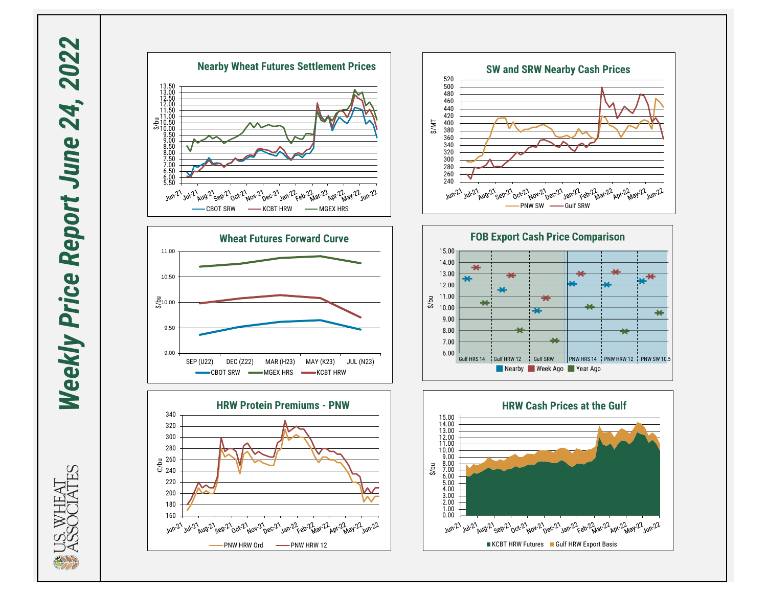Weekly Price Report June 24, 2022 *Weekly Price Report June 24, 2022*